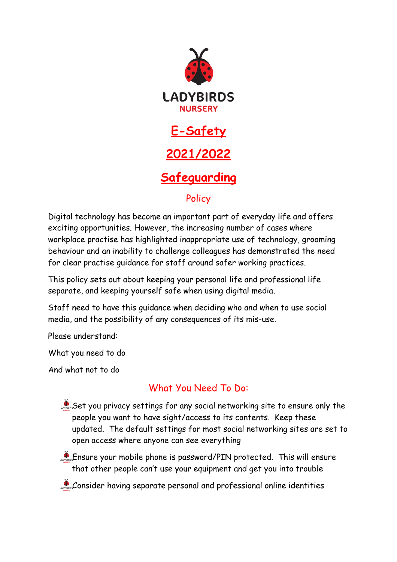

# **Safeguarding**

## Policy

Digital technology has become an important part of everyday life and offers exciting opportunities. However, the increasing number of cases where workplace practise has highlighted inappropriate use of technology, grooming behaviour and an inability to challenge colleagues has demonstrated the need for clear practise guidance for staff around safer working practices.

This policy sets out about keeping your personal life and professional life separate, and keeping yourself safe when using digital media.

Staff need to have this guidance when deciding who and when to use social media, and the possibility of any consequences of its mis-use.

Please understand:

What you need to do

And what not to do

### What You Need To Do:

Set you privacy settings for any social networking site to ensure only the people you want to have sight/access to its contents. Keep these updated. The default settings for most social networking sites are set to open access where anyone can see everything

**Ensure your mobile phone is password/PIN protected.** This will ensure that other people can't use your equipment and get you into trouble

Consider having separate personal and professional online identities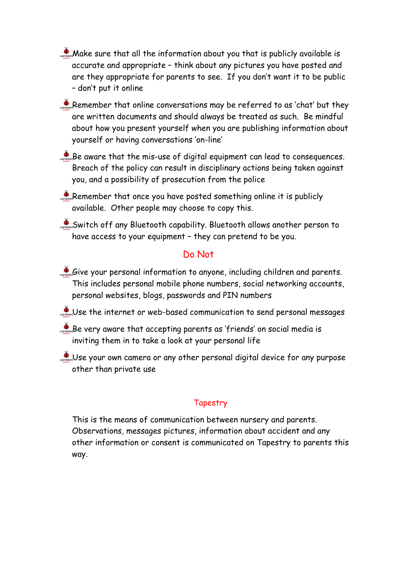- **Make sure that all the information about you that is publicly available is** accurate and appropriate – think about any pictures you have posted and are they appropriate for parents to see. If you don't want it to be public – don't put it online
- Remember that online conversations may be referred to as 'chat' but they are written documents and should always be treated as such. Be mindful about how you present yourself when you are publishing information about yourself or having conversations 'on-line'
- Be aware that the mis-use of digital equipment can lead to consequences. Breach of the policy can result in disciplinary actions being taken against you, and a possibility of prosecution from the police
- Remember that once you have posted something online it is publicly available. Other people may choose to copy this.
- Switch off any Bluetooth capability. Bluetooth allows another person to have access to your equipment – they can pretend to be you.

#### Do Not

- Give your personal information to anyone, including children and parents. This includes personal mobile phone numbers, social networking accounts, personal websites, blogs, passwords and PIN numbers
- Use the internet or web-based communication to send personal messages
- Be very aware that accepting parents as 'friends' on social media is inviting them in to take a look at your personal life
- Lapposition of the personal digital device for any purpose other than private use

#### **Tapestry**

This is the means of communication between nursery and parents. Observations, messages pictures, information about accident and any other information or consent is communicated on Tapestry to parents this way.